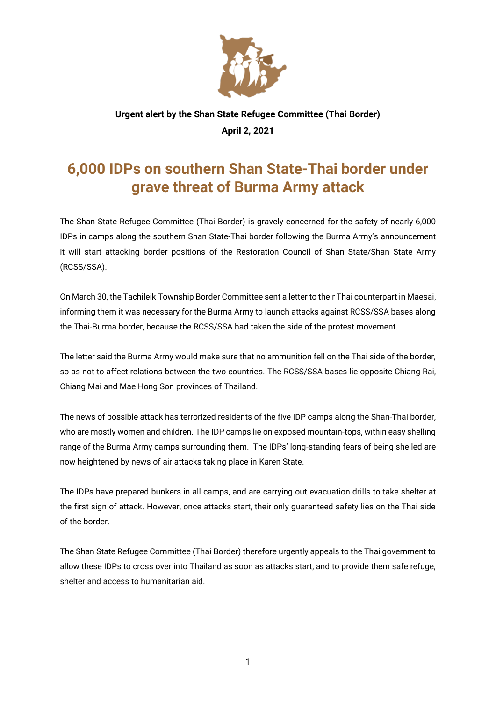

## **Urgent alert by the Shan State Refugee Committee (Thai Border) April 2, 2021**

## **6,000 IDPs on southern Shan State-Thai border under grave threat of Burma Army attack**

The Shan State Refugee Committee (Thai Border) is gravely concerned for the safety of nearly 6,000 IDPs in camps along the southern Shan State-Thai border following the Burma Army's announcement it will start attacking border positions of the Restoration Council of Shan State/Shan State Army (RCSS/SSA).

On March 30, the Tachileik Township Border Committee sent a letter to their Thai counterpart in Maesai, informing them it was necessary for the Burma Army to launch attacks against RCSS/SSA bases along the Thai-Burma border, because the RCSS/SSA had taken the side of the protest movement.

The letter said the Burma Army would make sure that no ammunition fell on the Thai side of the border, so as not to affect relations between the two countries. The RCSS/SSA bases lie opposite Chiang Rai, Chiang Mai and Mae Hong Son provinces of Thailand.

The news of possible attack has terrorized residents of the five IDP camps along the Shan-Thai border, who are mostly women and children. The IDP camps lie on exposed mountain-tops, within easy shelling range of the Burma Army camps surrounding them. The IDPs' long-standing fears of being shelled are now heightened by news of air attacks taking place in Karen State.

The IDPs have prepared bunkers in all camps, and are carrying out evacuation drills to take shelter at the first sign of attack. However, once attacks start, their only guaranteed safety lies on the Thai side of the border.

The Shan State Refugee Committee (Thai Border) therefore urgently appeals to the Thai government to allow these IDPs to cross over into Thailand as soon as attacks start, and to provide them safe refuge, shelter and access to humanitarian aid.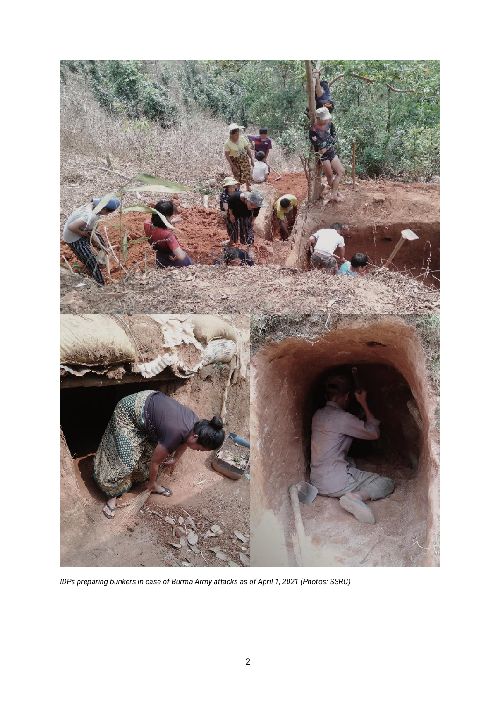

*IDPs preparing bunkers in case of Burma Army attacks as of April 1, 2021 (Photos: SSRC)*